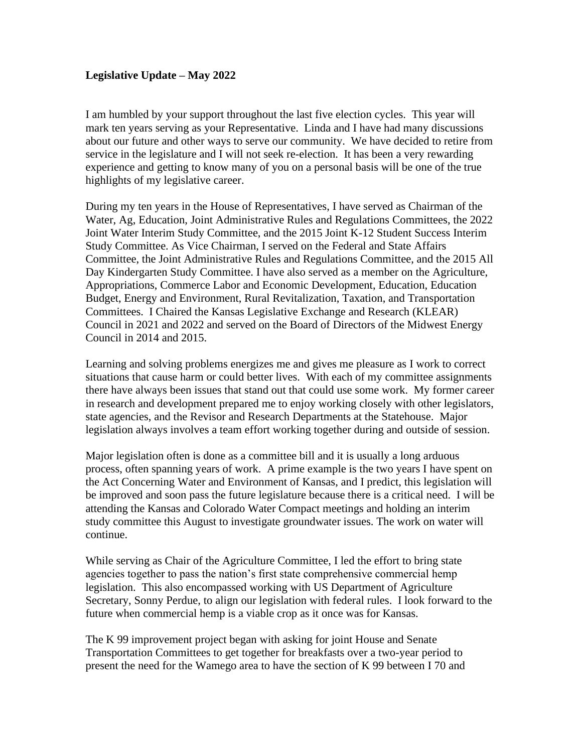## **Legislative Update – May 2022**

I am humbled by your support throughout the last five election cycles. This year will mark ten years serving as your Representative. Linda and I have had many discussions about our future and other ways to serve our community. We have decided to retire from service in the legislature and I will not seek re-election. It has been a very rewarding experience and getting to know many of you on a personal basis will be one of the true highlights of my legislative career.

During my ten years in the House of Representatives, I have served as Chairman of the Water, Ag, Education, Joint Administrative Rules and Regulations Committees, the 2022 Joint Water Interim Study Committee, and the 2015 Joint K-12 Student Success Interim Study Committee. As Vice Chairman, I served on the Federal and State Affairs Committee, the Joint Administrative Rules and Regulations Committee, and the 2015 All Day Kindergarten Study Committee. I have also served as a member on the Agriculture, Appropriations, Commerce Labor and Economic Development, Education, Education Budget, Energy and Environment, Rural Revitalization, Taxation, and Transportation Committees. I Chaired the Kansas Legislative Exchange and Research (KLEAR) Council in 2021 and 2022 and served on the Board of Directors of the Midwest Energy Council in 2014 and 2015.

Learning and solving problems energizes me and gives me pleasure as I work to correct situations that cause harm or could better lives. With each of my committee assignments there have always been issues that stand out that could use some work. My former career in research and development prepared me to enjoy working closely with other legislators, state agencies, and the Revisor and Research Departments at the Statehouse. Major legislation always involves a team effort working together during and outside of session.

Major legislation often is done as a committee bill and it is usually a long arduous process, often spanning years of work. A prime example is the two years I have spent on the Act Concerning Water and Environment of Kansas, and I predict, this legislation will be improved and soon pass the future legislature because there is a critical need. I will be attending the Kansas and Colorado Water Compact meetings and holding an interim study committee this August to investigate groundwater issues. The work on water will continue.

While serving as Chair of the Agriculture Committee, I led the effort to bring state agencies together to pass the nation's first state comprehensive commercial hemp legislation. This also encompassed working with US Department of Agriculture Secretary, Sonny Perdue, to align our legislation with federal rules. I look forward to the future when commercial hemp is a viable crop as it once was for Kansas.

The K 99 improvement project began with asking for joint House and Senate Transportation Committees to get together for breakfasts over a two-year period to present the need for the Wamego area to have the section of K 99 between I 70 and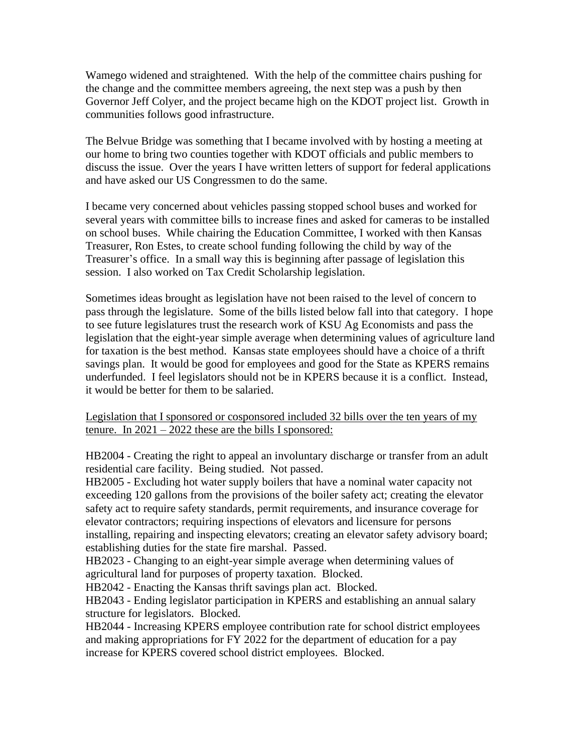Wamego widened and straightened. With the help of the committee chairs pushing for the change and the committee members agreeing, the next step was a push by then Governor Jeff Colyer, and the project became high on the KDOT project list. Growth in communities follows good infrastructure.

The Belvue Bridge was something that I became involved with by hosting a meeting at our home to bring two counties together with KDOT officials and public members to discuss the issue. Over the years I have written letters of support for federal applications and have asked our US Congressmen to do the same.

I became very concerned about vehicles passing stopped school buses and worked for several years with committee bills to increase fines and asked for cameras to be installed on school buses. While chairing the Education Committee, I worked with then Kansas Treasurer, Ron Estes, to create school funding following the child by way of the Treasurer's office. In a small way this is beginning after passage of legislation this session. I also worked on Tax Credit Scholarship legislation.

Sometimes ideas brought as legislation have not been raised to the level of concern to pass through the legislature. Some of the bills listed below fall into that category. I hope to see future legislatures trust the research work of KSU Ag Economists and pass the legislation that the eight-year simple average when determining values of agriculture land for taxation is the best method. Kansas state employees should have a choice of a thrift savings plan. It would be good for employees and good for the State as KPERS remains underfunded. I feel legislators should not be in KPERS because it is a conflict. Instead, it would be better for them to be salaried.

## Legislation that I sponsored or cosponsored included 32 bills over the ten years of my tenure. In  $2021 - 2022$  these are the bills I sponsored:

HB2004 - Creating the right to appeal an involuntary discharge or transfer from an adult residential care facility. Being studied. Not passed.

HB2005 - Excluding hot water supply boilers that have a nominal water capacity not exceeding 120 gallons from the provisions of the boiler safety act; creating the elevator safety act to require safety standards, permit requirements, and insurance coverage for elevator contractors; requiring inspections of elevators and licensure for persons installing, repairing and inspecting elevators; creating an elevator safety advisory board; establishing duties for the state fire marshal. Passed.

HB2023 - Changing to an eight-year simple average when determining values of agricultural land for purposes of property taxation. Blocked.

HB2042 - Enacting the Kansas thrift savings plan act. Blocked.

HB2043 - Ending legislator participation in KPERS and establishing an annual salary structure for legislators. Blocked.

HB2044 - Increasing KPERS employee contribution rate for school district employees and making appropriations for FY 2022 for the department of education for a pay increase for KPERS covered school district employees. Blocked.